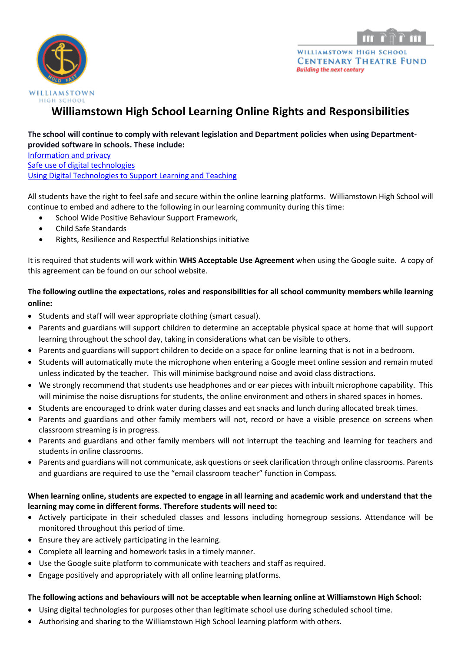



# **Williamstown High School Learning Online Rights and Responsibilities**

#### **The school will continue to comply with relevant legislation and Department policies when using Departmentprovided software in schools. These include:**

[Information and privacy](https://www.education.vic.gov.au/school/principals/spag/governance/pages/privacy.aspx)

[Safe use of digital technologies](https://www.education.vic.gov.au/school/teachers/teachingresources/digital/Pages/safety.aspx)

[Using Digital Technologies to Support Learning and Teaching](https://www.education.vic.gov.au/school/principals/spag/curriculum/Pages/techsupport.aspx)

All students have the right to feel safe and secure within the online learning platforms. Williamstown High School will continue to embed and adhere to the following in our learning community during this time:

- School Wide Positive Behaviour Support Framework,
- Child Safe Standards
- Rights, Resilience and Respectful Relationships initiative

It is required that students will work within **WHS Acceptable Use Agreement** when using the Google suite. A copy of this agreement can be found on our school website.

# **The following outline the expectations, roles and responsibilities for all school community members while learning online:**

- Students and staff will wear appropriate clothing (smart casual).
- Parents and guardians will support children to determine an acceptable physical space at home that will support learning throughout the school day, taking in considerations what can be visible to others.
- Parents and guardians will support children to decide on a space for online learning that is not in a bedroom.
- Students will automatically mute the microphone when entering a Google meet online session and remain muted unless indicated by the teacher. This will minimise background noise and avoid class distractions.
- We strongly recommend that students use headphones and or ear pieces with inbuilt microphone capability. This will minimise the noise disruptions for students, the online environment and others in shared spaces in homes.
- Students are encouraged to drink water during classes and eat snacks and lunch during allocated break times.
- Parents and guardians and other family members will not, record or have a visible presence on screens when classroom streaming is in progress.
- Parents and guardians and other family members will not interrupt the teaching and learning for teachers and students in online classrooms.
- Parents and guardians will not communicate, ask questions or seek clarification through online classrooms. Parents and guardians are required to use the "email classroom teacher" function in Compass.

## **When learning online, students are expected to engage in all learning and academic work and understand that the learning may come in different forms. Therefore students will need to:**

- Actively participate in their scheduled classes and lessons including homegroup sessions. Attendance will be monitored throughout this period of time.
- Ensure they are actively participating in the learning.
- Complete all learning and homework tasks in a timely manner.
- Use the Google suite platform to communicate with teachers and staff as required.
- Engage positively and appropriately with all online learning platforms.

#### **The following actions and behaviours will not be acceptable when learning online at Williamstown High School:**

- Using digital technologies for purposes other than legitimate school use during scheduled school time.
- Authorising and sharing to the Williamstown High School learning platform with others.